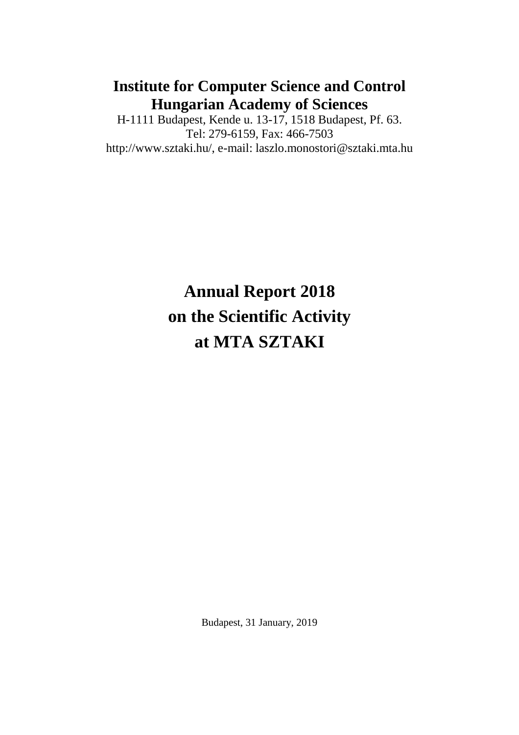## **Institute for Computer Science and Control Hungarian Academy of Sciences**

H-1111 Budapest, Kende u. 13-17, 1518 Budapest, Pf. 63. Tel: 279-6159, Fax: 466-7503 http://www.sztaki.hu/, e-mail: laszlo.monostori@sztaki.mta.hu

# **Annual Report 2018 on the Scientific Activity at MTA SZTAKI**

Budapest, 31 January, 2019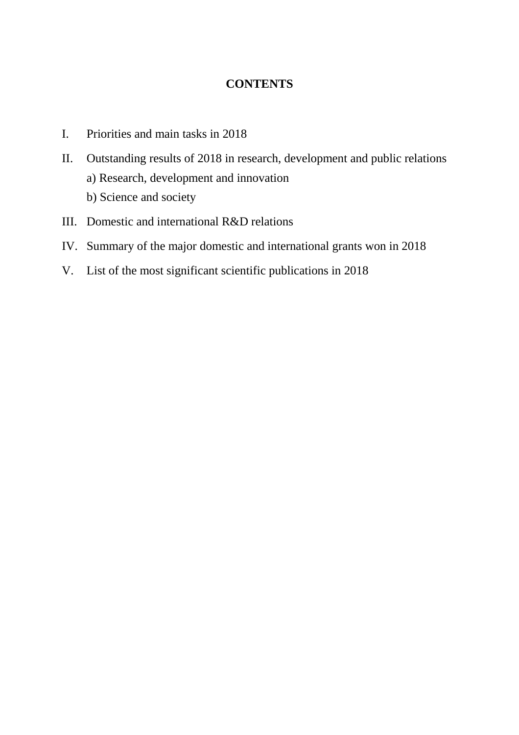### **CONTENTS**

- I. Priorities and main tasks in 2018
- II. Outstanding results of 2018 in research, development and public relations a) Research, development and innovation b) Science and society
- III. Domestic and international R&D relations
- IV. Summary of the major domestic and international grants won in 2018
- V. List of the most significant scientific publications in 2018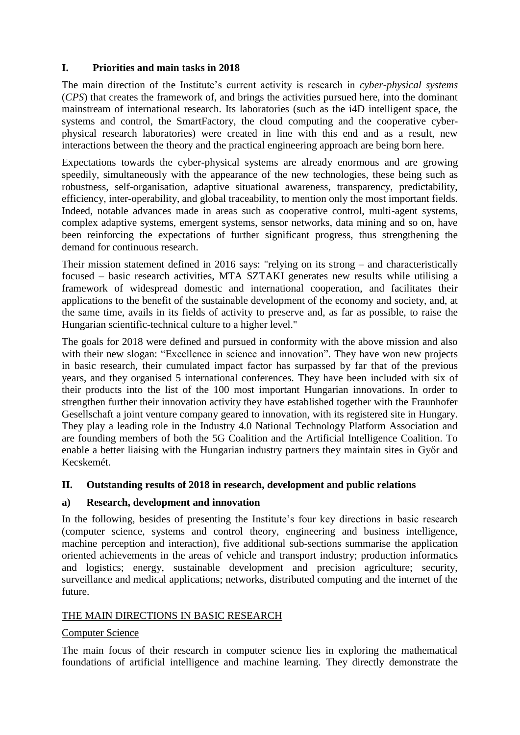#### **I. Priorities and main tasks in 2018**

The main direction of the Institute's current activity is research in *cyber-physical systems* (*CPS*) that creates the framework of, and brings the activities pursued here, into the dominant mainstream of international research. Its laboratories (such as the i4D intelligent space, the systems and control, the SmartFactory, the cloud computing and the cooperative cyberphysical research laboratories) were created in line with this end and as a result, new interactions between the theory and the practical engineering approach are being born here.

Expectations towards the cyber-physical systems are already enormous and are growing speedily, simultaneously with the appearance of the new technologies, these being such as robustness, self-organisation, adaptive situational awareness, transparency, predictability, efficiency, inter-operability, and global traceability, to mention only the most important fields. Indeed, notable advances made in areas such as cooperative control, multi-agent systems, complex adaptive systems, emergent systems, sensor networks, data mining and so on, have been reinforcing the expectations of further significant progress, thus strengthening the demand for continuous research.

Their mission statement defined in 2016 says: "relying on its strong – and characteristically focused – basic research activities, MTA SZTAKI generates new results while utilising a framework of widespread domestic and international cooperation, and facilitates their applications to the benefit of the sustainable development of the economy and society, and, at the same time, avails in its fields of activity to preserve and, as far as possible, to raise the Hungarian scientific-technical culture to a higher level."

The goals for 2018 were defined and pursued in conformity with the above mission and also with their new slogan: "Excellence in science and innovation". They have won new projects in basic research, their cumulated impact factor has surpassed by far that of the previous years, and they organised 5 international conferences. They have been included with six of their products into the list of the 100 most important Hungarian innovations. In order to strengthen further their innovation activity they have established together with the Fraunhofer Gesellschaft a joint venture company geared to innovation, with its registered site in Hungary. They play a leading role in the Industry 4.0 National Technology Platform Association and are founding members of both the 5G Coalition and the Artificial Intelligence Coalition. To enable a better liaising with the Hungarian industry partners they maintain sites in Győr and Kecskemét.

#### **II. Outstanding results of 2018 in research, development and public relations**

#### **a) Research, development and innovation**

In the following, besides of presenting the Institute's four key directions in basic research (computer science, systems and control theory, engineering and business intelligence, machine perception and interaction), five additional sub-sections summarise the application oriented achievements in the areas of vehicle and transport industry; production informatics and logistics; energy, sustainable development and precision agriculture; security, surveillance and medical applications; networks, distributed computing and the internet of the future.

#### THE MAIN DIRECTIONS IN BASIC RESEARCH

#### Computer Science

The main focus of their research in computer science lies in exploring the mathematical foundations of artificial intelligence and machine learning. They directly demonstrate the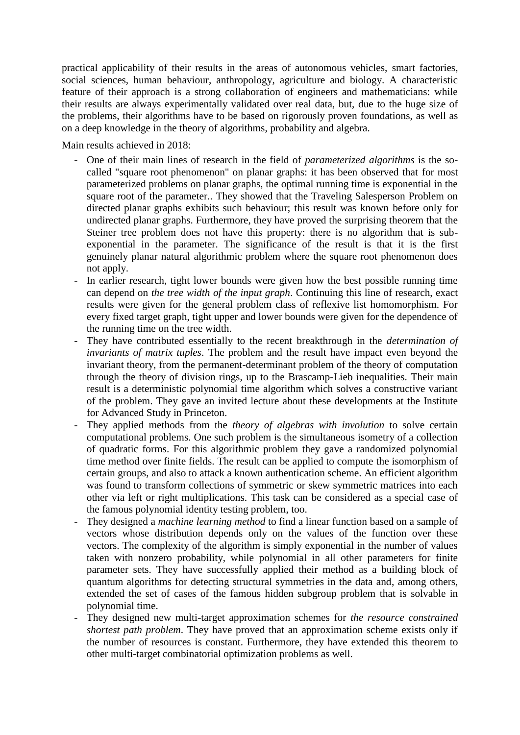practical applicability of their results in the areas of autonomous vehicles, smart factories, social sciences, human behaviour, anthropology, agriculture and biology. A characteristic feature of their approach is a strong collaboration of engineers and mathematicians: while their results are always experimentally validated over real data, but, due to the huge size of the problems, their algorithms have to be based on rigorously proven foundations, as well as on a deep knowledge in the theory of algorithms, probability and algebra.

Main results achieved in 2018:

- One of their main lines of research in the field of *parameterized algorithms* is the socalled "square root phenomenon" on planar graphs: it has been observed that for most parameterized problems on planar graphs, the optimal running time is exponential in the square root of the parameter.. They showed that the Traveling Salesperson Problem on directed planar graphs exhibits such behaviour; this result was known before only for undirected planar graphs. Furthermore, they have proved the surprising theorem that the Steiner tree problem does not have this property: there is no algorithm that is subexponential in the parameter. The significance of the result is that it is the first genuinely planar natural algorithmic problem where the square root phenomenon does not apply.
- In earlier research, tight lower bounds were given how the best possible running time can depend on *the tree width of the input graph*. Continuing this line of research, exact results were given for the general problem class of reflexive list homomorphism. For every fixed target graph, tight upper and lower bounds were given for the dependence of the running time on the tree width.
- They have contributed essentially to the recent breakthrough in the *determination of invariants of matrix tuples*. The problem and the result have impact even beyond the invariant theory, from the permanent-determinant problem of the theory of computation through the theory of division rings, up to the Brascamp-Lieb inequalities. Their main result is a deterministic polynomial time algorithm which solves a constructive variant of the problem. They gave an invited lecture about these developments at the Institute for Advanced Study in Princeton.
- They applied methods from the *theory of algebras with involution* to solve certain computational problems. One such problem is the simultaneous isometry of a collection of quadratic forms. For this algorithmic problem they gave a randomized polynomial time method over finite fields. The result can be applied to compute the isomorphism of certain groups, and also to attack a known authentication scheme. An efficient algorithm was found to transform collections of symmetric or skew symmetric matrices into each other via left or right multiplications. This task can be considered as a special case of the famous polynomial identity testing problem, too.
- They designed a *machine learning method* to find a linear function based on a sample of vectors whose distribution depends only on the values of the function over these vectors. The complexity of the algorithm is simply exponential in the number of values taken with nonzero probability, while polynomial in all other parameters for finite parameter sets. They have successfully applied their method as a building block of quantum algorithms for detecting structural symmetries in the data and, among others, extended the set of cases of the famous hidden subgroup problem that is solvable in polynomial time.
- They designed new multi-target approximation schemes for *the resource constrained shortest path problem*. They have proved that an approximation scheme exists only if the number of resources is constant. Furthermore, they have extended this theorem to other multi-target combinatorial optimization problems as well.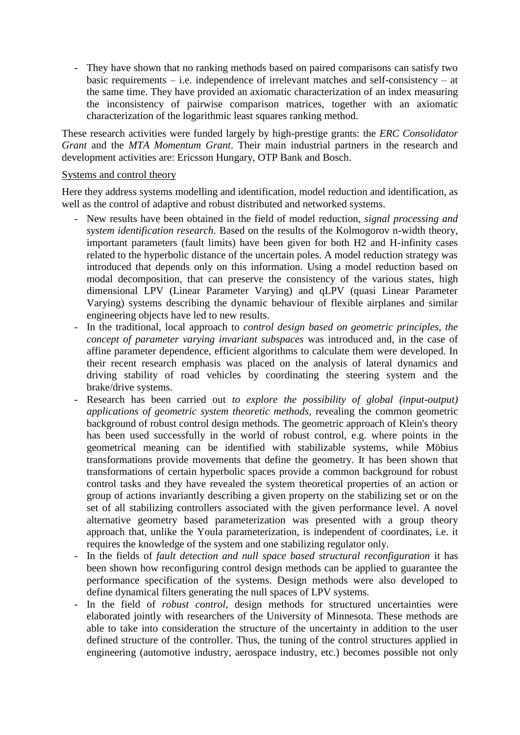- They have shown that no ranking methods based on paired comparisons can satisfy two basic requirements – i.e. independence of irrelevant matches and self-consistency – at the same time. They have provided an axiomatic characterization of an index measuring the inconsistency of pairwise comparison matrices, together with an axiomatic characterization of the logarithmic least squares ranking method.

These research activities were funded largely by high-prestige grants: the *ERC Consolidator Grant* and the *MTA Momentum Grant*. Their main industrial partners in the research and development activities are: Ericsson Hungary, OTP Bank and Bosch.

#### Systems and control theory

Here they address systems modelling and identification, model reduction and identification, as well as the control of adaptive and robust distributed and networked systems.

- New results have been obtained in the field of model reduction, *signal processing and system identification research*. Based on the results of the Kolmogorov n-width theory, important parameters (fault limits) have been given for both H2 and H-infinity cases related to the hyperbolic distance of the uncertain poles. A model reduction strategy was introduced that depends only on this information. Using a model reduction based on modal decomposition, that can preserve the consistency of the various states, high dimensional LPV (Linear Parameter Varying) and qLPV (quasi Linear Parameter Varying) systems describing the dynamic behaviour of flexible airplanes and similar engineering objects have led to new results.
- In the traditional, local approach to *control design based on geometric principles, the concept of parameter varying invariant subspaces* was introduced and, in the case of affine parameter dependence, efficient algorithms to calculate them were developed. In their recent research emphasis was placed on the analysis of lateral dynamics and driving stability of road vehicles by coordinating the steering system and the brake/drive systems.
- Research has been carried out *to explore the possibility of global (input-output) applications of geometric system theoretic methods,* revealing the common geometric background of robust control design methods. The geometric approach of Klein's theory has been used successfully in the world of robust control, e.g. where points in the geometrical meaning can be identified with stabilizable systems, while Möbius transformations provide movements that define the geometry. It has been shown that transformations of certain hyperbolic spaces provide a common background for robust control tasks and they have revealed the system theoretical properties of an action or group of actions invariantly describing a given property on the stabilizing set or on the set of all stabilizing controllers associated with the given performance level. A novel alternative geometry based parameterization was presented with a group theory approach that, unlike the Youla parameterization, is independent of coordinates, i.e. it requires the knowledge of the system and one stabilizing regulator only.
- In the fields of *fault detection and null space based structural reconfiguration* it has been shown how reconfiguring control design methods can be applied to guarantee the performance specification of the systems. Design methods were also developed to define dynamical filters generating the null spaces of LPV systems.
- In the field of *robust control*, design methods for structured uncertainties were elaborated jointly with researchers of the University of Minnesota. These methods are able to take into consideration the structure of the uncertainty in addition to the user defined structure of the controller. Thus, the tuning of the control structures applied in engineering (automotive industry, aerospace industry, etc.) becomes possible not only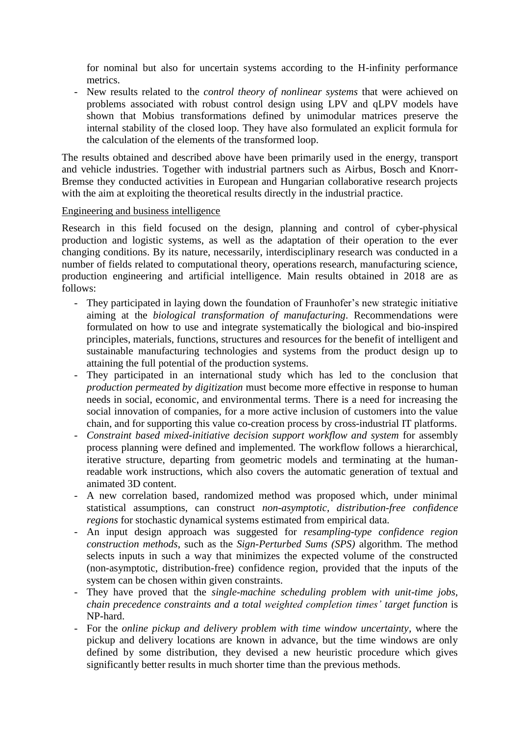for nominal but also for uncertain systems according to the H-infinity performance metrics.

- New results related to the *control theory of nonlinear systems* that were achieved on problems associated with robust control design using LPV and qLPV models have shown that Mobius transformations defined by unimodular matrices preserve the internal stability of the closed loop. They have also formulated an explicit formula for the calculation of the elements of the transformed loop.

The results obtained and described above have been primarily used in the energy, transport and vehicle industries. Together with industrial partners such as Airbus, Bosch and Knorr-Bremse they conducted activities in European and Hungarian collaborative research projects with the aim at exploiting the theoretical results directly in the industrial practice.

#### Engineering and business intelligence

Research in this field focused on the design, planning and control of cyber-physical production and logistic systems, as well as the adaptation of their operation to the ever changing conditions. By its nature, necessarily, interdisciplinary research was conducted in a number of fields related to computational theory, operations research, manufacturing science, production engineering and artificial intelligence. Main results obtained in 2018 are as follows:

- They participated in laying down the foundation of Fraunhofer's new strategic initiative aiming at the *biological transformation of manufacturing*. Recommendations were formulated on how to use and integrate systematically the biological and bio-inspired principles, materials, functions, structures and resources for the benefit of intelligent and sustainable manufacturing technologies and systems from the product design up to attaining the full potential of the production systems.
- They participated in an international study which has led to the conclusion that *production permeated by digitization* must become more effective in response to human needs in social, economic, and environmental terms. There is a need for increasing the social innovation of companies, for a more active inclusion of customers into the value chain, and for supporting this value co-creation process by cross-industrial IT platforms.
- *Constraint based mixed-initiative decision support workflow and system* for assembly process planning were defined and implemented. The workflow follows a hierarchical, iterative structure, departing from geometric models and terminating at the humanreadable work instructions, which also covers the automatic generation of textual and animated 3D content.
- A new correlation based, randomized method was proposed which, under minimal statistical assumptions, can construct *non-asymptotic, distribution-free confidence regions* for stochastic dynamical systems estimated from empirical data.
- An input design approach was suggested for *resampling-type confidence region construction methods*, such as the *Sign-Perturbed Sums (SPS)* algorithm. The method selects inputs in such a way that minimizes the expected volume of the constructed (non-asymptotic, distribution-free) confidence region, provided that the inputs of the system can be chosen within given constraints.
- They have proved that the *single-machine scheduling problem with unit-time jobs, chain precedence constraints and a total weighted completion times' target function* is NP-hard.
- For the *online pickup and delivery problem with time window uncertainty*, where the pickup and delivery locations are known in advance, but the time windows are only defined by some distribution, they devised a new heuristic procedure which gives significantly better results in much shorter time than the previous methods.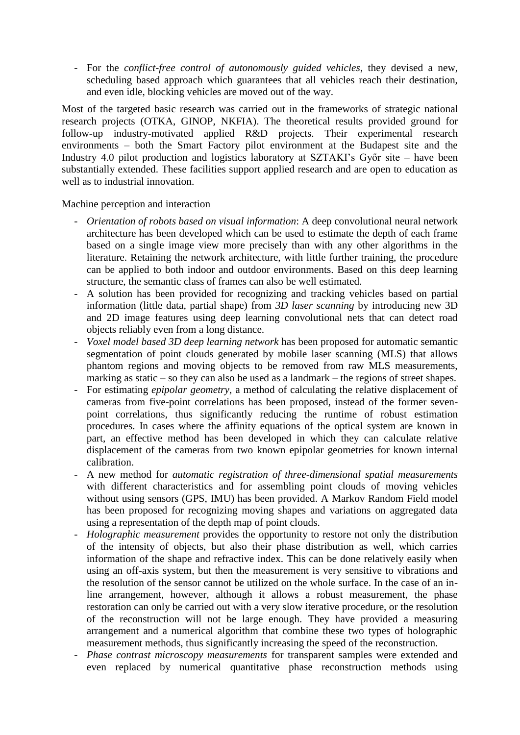- For the *conflict-free control of autonomously guided vehicles*, they devised a new, scheduling based approach which guarantees that all vehicles reach their destination, and even idle, blocking vehicles are moved out of the way.

Most of the targeted basic research was carried out in the frameworks of strategic national research projects (OTKA, GINOP, NKFIA). The theoretical results provided ground for follow-up industry-motivated applied R&D projects. Their experimental research environments – both the Smart Factory pilot environment at the Budapest site and the Industry 4.0 pilot production and logistics laboratory at SZTAKI's Győr site – have been substantially extended. These facilities support applied research and are open to education as well as to industrial innovation.

#### Machine perception and interaction

- *Orientation of robots based on visual information*: A deep convolutional neural network architecture has been developed which can be used to estimate the depth of each frame based on a single image view more precisely than with any other algorithms in the literature. Retaining the network architecture, with little further training, the procedure can be applied to both indoor and outdoor environments. Based on this deep learning structure, the semantic class of frames can also be well estimated.
- A solution has been provided for recognizing and tracking vehicles based on partial information (little data, partial shape) from *3D laser scanning* by introducing new 3D and 2D image features using deep learning convolutional nets that can detect road objects reliably even from a long distance.
- *Voxel model based 3D deep learning network* has been proposed for automatic semantic segmentation of point clouds generated by mobile laser scanning (MLS) that allows phantom regions and moving objects to be removed from raw MLS measurements, marking as static – so they can also be used as a landmark – the regions of street shapes.
- For estimating *epipolar geometry*, a method of calculating the relative displacement of cameras from five-point correlations has been proposed, instead of the former sevenpoint correlations, thus significantly reducing the runtime of robust estimation procedures. In cases where the affinity equations of the optical system are known in part, an effective method has been developed in which they can calculate relative displacement of the cameras from two known epipolar geometries for known internal calibration.
- A new method for *automatic registration of three-dimensional spatial measurements* with different characteristics and for assembling point clouds of moving vehicles without using sensors (GPS, IMU) has been provided. A Markov Random Field model has been proposed for recognizing moving shapes and variations on aggregated data using a representation of the depth map of point clouds.
- *Holographic measurement* provides the opportunity to restore not only the distribution of the intensity of objects, but also their phase distribution as well, which carries information of the shape and refractive index. This can be done relatively easily when using an off-axis system, but then the measurement is very sensitive to vibrations and the resolution of the sensor cannot be utilized on the whole surface. In the case of an inline arrangement, however, although it allows a robust measurement, the phase restoration can only be carried out with a very slow iterative procedure, or the resolution of the reconstruction will not be large enough. They have provided a measuring arrangement and a numerical algorithm that combine these two types of holographic measurement methods, thus significantly increasing the speed of the reconstruction.
- *Phase contrast microscopy measurements* for transparent samples were extended and even replaced by numerical quantitative phase reconstruction methods using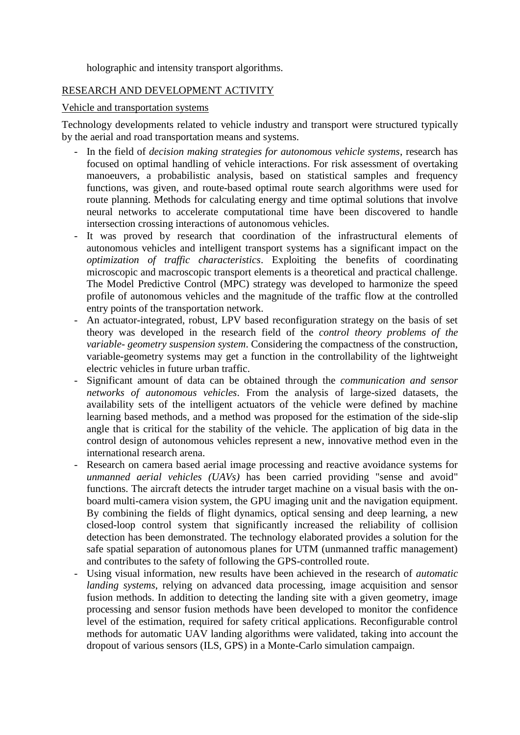holographic and intensity transport algorithms.

#### RESEARCH AND DEVELOPMENT ACTIVITY

#### Vehicle and transportation systems

Technology developments related to vehicle industry and transport were structured typically by the aerial and road transportation means and systems.

- In the field of *decision making strategies for autonomous vehicle systems*, research has focused on optimal handling of vehicle interactions. For risk assessment of overtaking manoeuvers, a probabilistic analysis, based on statistical samples and frequency functions, was given, and route-based optimal route search algorithms were used for route planning. Methods for calculating energy and time optimal solutions that involve neural networks to accelerate computational time have been discovered to handle intersection crossing interactions of autonomous vehicles.
- It was proved by research that coordination of the infrastructural elements of autonomous vehicles and intelligent transport systems has a significant impact on the *optimization of traffic characteristics*. Exploiting the benefits of coordinating microscopic and macroscopic transport elements is a theoretical and practical challenge. The Model Predictive Control (MPC) strategy was developed to harmonize the speed profile of autonomous vehicles and the magnitude of the traffic flow at the controlled entry points of the transportation network.
- An actuator-integrated, robust, LPV based reconfiguration strategy on the basis of set theory was developed in the research field of the *control theory problems of the variable- geometry suspension system*. Considering the compactness of the construction, variable-geometry systems may get a function in the controllability of the lightweight electric vehicles in future urban traffic.
- Significant amount of data can be obtained through the *communication and sensor networks of autonomous vehicles*. From the analysis of large-sized datasets, the availability sets of the intelligent actuators of the vehicle were defined by machine learning based methods, and a method was proposed for the estimation of the side-slip angle that is critical for the stability of the vehicle. The application of big data in the control design of autonomous vehicles represent a new, innovative method even in the international research arena.
- Research on camera based aerial image processing and reactive avoidance systems for *unmanned aerial vehicles (UAVs)* has been carried providing "sense and avoid" functions. The aircraft detects the intruder target machine on a visual basis with the onboard multi-camera vision system, the GPU imaging unit and the navigation equipment. By combining the fields of flight dynamics, optical sensing and deep learning, a new closed-loop control system that significantly increased the reliability of collision detection has been demonstrated. The technology elaborated provides a solution for the safe spatial separation of autonomous planes for UTM (unmanned traffic management) and contributes to the safety of following the GPS-controlled route.
- Using visual information, new results have been achieved in the research of *automatic landing systems*, relying on advanced data processing, image acquisition and sensor fusion methods. In addition to detecting the landing site with a given geometry, image processing and sensor fusion methods have been developed to monitor the confidence level of the estimation, required for safety critical applications. Reconfigurable control methods for automatic UAV landing algorithms were validated, taking into account the dropout of various sensors (ILS, GPS) in a Monte-Carlo simulation campaign.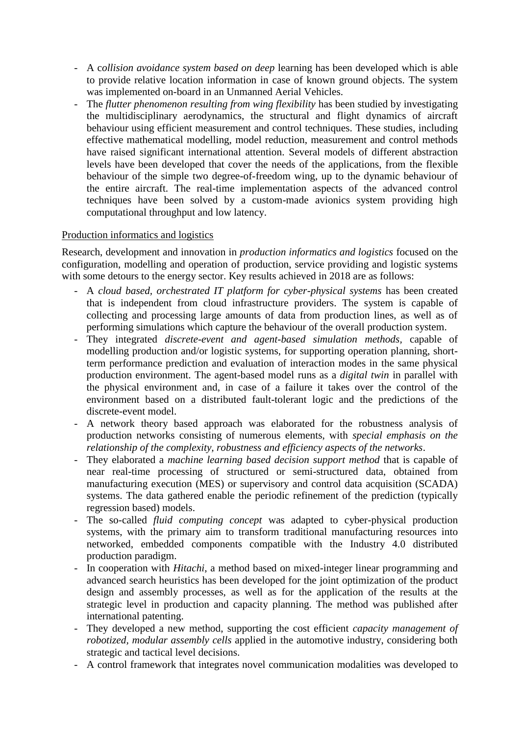- A c*ollision avoidance system based on deep* learning has been developed which is able to provide relative location information in case of known ground objects. The system was implemented on-board in an Unmanned Aerial Vehicles.
- The *flutter phenomenon resulting from wing flexibility* has been studied by investigating the multidisciplinary aerodynamics, the structural and flight dynamics of aircraft behaviour using efficient measurement and control techniques. These studies, including effective mathematical modelling, model reduction, measurement and control methods have raised significant international attention. Several models of different abstraction levels have been developed that cover the needs of the applications, from the flexible behaviour of the simple two degree-of-freedom wing, up to the dynamic behaviour of the entire aircraft. The real-time implementation aspects of the advanced control techniques have been solved by a custom-made avionics system providing high computational throughput and low latency.

#### Production informatics and logistics

Research, development and innovation in *production informatics and logistics* focused on the configuration, modelling and operation of production, service providing and logistic systems with some detours to the energy sector. Key results achieved in 2018 are as follows:

- A *cloud based, orchestrated IT platform for cyber-physical systems* has been created that is independent from cloud infrastructure providers. The system is capable of collecting and processing large amounts of data from production lines, as well as of performing simulations which capture the behaviour of the overall production system.
- They integrated *discrete-event and agent-based simulation methods,* capable of modelling production and/or logistic systems, for supporting operation planning, shortterm performance prediction and evaluation of interaction modes in the same physical production environment. The agent-based model runs as a *digital twin* in parallel with the physical environment and, in case of a failure it takes over the control of the environment based on a distributed fault-tolerant logic and the predictions of the discrete-event model.
- A network theory based approach was elaborated for the robustness analysis of production networks consisting of numerous elements, with *special emphasis on the relationship of the complexity, robustness and efficiency aspects of the networks*.
- They elaborated a *machine learning based decision support method* that is capable of near real-time processing of structured or semi-structured data, obtained from manufacturing execution (MES) or supervisory and control data acquisition (SCADA) systems. The data gathered enable the periodic refinement of the prediction (typically regression based) models.
- The so-called *fluid computing concept* was adapted to cyber-physical production systems, with the primary aim to transform traditional manufacturing resources into networked, embedded components compatible with the Industry 4.0 distributed production paradigm.
- In cooperation with *Hitachi*, a method based on mixed-integer linear programming and advanced search heuristics has been developed for the joint optimization of the product design and assembly processes, as well as for the application of the results at the strategic level in production and capacity planning. The method was published after international patenting.
- They developed a new method, supporting the cost efficient *capacity management of robotized, modular assembly cells* applied in the automotive industry, considering both strategic and tactical level decisions.
- A control framework that integrates novel communication modalities was developed to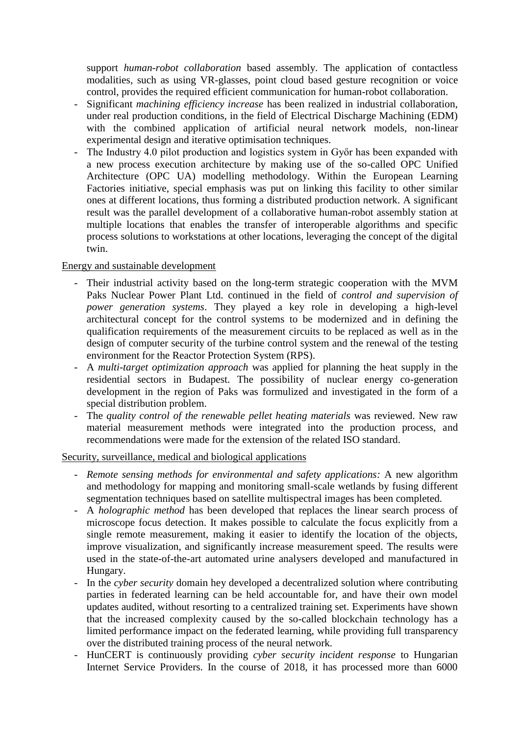support *human-robot collaboration* based assembly. The application of contactless modalities, such as using VR-glasses, point cloud based gesture recognition or voice control, provides the required efficient communication for human-robot collaboration.

- Significant *machining efficiency increase* has been realized in industrial collaboration, under real production conditions, in the field of Electrical Discharge Machining (EDM) with the combined application of artificial neural network models, non-linear experimental design and iterative optimisation techniques.
- The Industry 4.0 pilot production and logistics system in Győr has been expanded with a new process execution architecture by making use of the so-called OPC Unified Architecture (OPC UA) modelling methodology. Within the European Learning Factories initiative, special emphasis was put on linking this facility to other similar ones at different locations, thus forming a distributed production network. A significant result was the parallel development of a collaborative human-robot assembly station at multiple locations that enables the transfer of interoperable algorithms and specific process solutions to workstations at other locations, leveraging the concept of the digital twin.

#### Energy and sustainable development

- Their industrial activity based on the long-term strategic cooperation with the MVM Paks Nuclear Power Plant Ltd. continued in the field of *control and supervision of power generation systems*. They played a key role in developing a high-level architectural concept for the control systems to be modernized and in defining the qualification requirements of the measurement circuits to be replaced as well as in the design of computer security of the turbine control system and the renewal of the testing environment for the Reactor Protection System (RPS).
- A *multi-target optimization approach* was applied for planning the heat supply in the residential sectors in Budapest. The possibility of nuclear energy co-generation development in the region of Paks was formulized and investigated in the form of a special distribution problem.
- The *quality control of the renewable pellet heating materials* was reviewed. New raw material measurement methods were integrated into the production process, and recommendations were made for the extension of the related ISO standard.

#### Security, surveillance, medical and biological applications

- *Remote sensing methods for environmental and safety applications:* A new algorithm and methodology for mapping and monitoring small-scale wetlands by fusing different segmentation techniques based on satellite multispectral images has been completed.
- A *holographic method* has been developed that replaces the linear search process of microscope focus detection. It makes possible to calculate the focus explicitly from a single remote measurement, making it easier to identify the location of the objects, improve visualization, and significantly increase measurement speed. The results were used in the state-of-the-art automated urine analysers developed and manufactured in Hungary.
- In the *cyber security* domain hey developed a decentralized solution where contributing parties in federated learning can be held accountable for, and have their own model updates audited, without resorting to a centralized training set. Experiments have shown that the increased complexity caused by the so-called blockchain technology has a limited performance impact on the federated learning, while providing full transparency over the distributed training process of the neural network.
- HunCERT is continuously providing *cyber security incident response* to Hungarian Internet Service Providers. In the course of 2018, it has processed more than 6000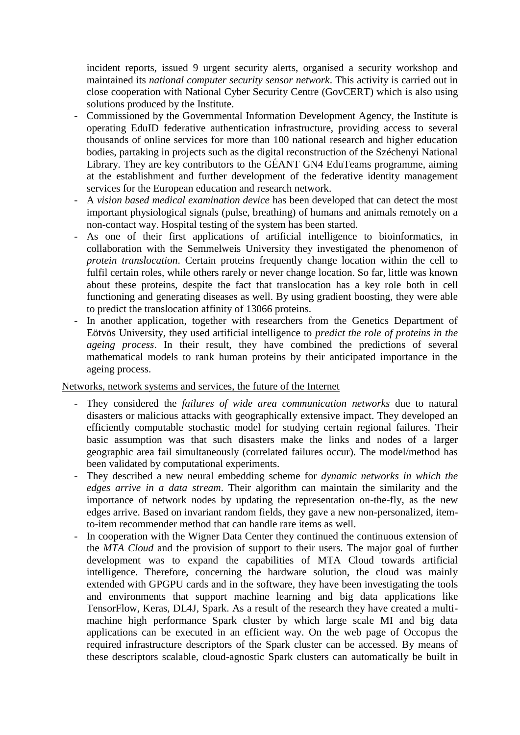incident reports, issued 9 urgent security alerts, organised a security workshop and maintained its *national computer security sensor network*. This activity is carried out in close cooperation with National Cyber Security Centre (GovCERT) which is also using solutions produced by the Institute.

- Commissioned by the Governmental Information Development Agency, the Institute is operating EduID federative authentication infrastructure, providing access to several thousands of online services for more than 100 national research and higher education bodies, partaking in projects such as the digital reconstruction of the Széchenyi National Library. They are key contributors to the GÉANT GN4 EduTeams programme, aiming at the establishment and further development of the federative identity management services for the European education and research network.
- A *vision based medical examination device* has been developed that can detect the most important physiological signals (pulse, breathing) of humans and animals remotely on a non-contact way. Hospital testing of the system has been started.
- As one of their first applications of artificial intelligence to bioinformatics, in collaboration with the Semmelweis University they investigated the phenomenon of *protein translocation*. Certain proteins frequently change location within the cell to fulfil certain roles, while others rarely or never change location. So far, little was known about these proteins, despite the fact that translocation has a key role both in cell functioning and generating diseases as well. By using gradient boosting, they were able to predict the translocation affinity of 13066 proteins.
- In another application, together with researchers from the Genetics Department of Eötvös University, they used artificial intelligence to *predict the role of proteins in the ageing process*. In their result, they have combined the predictions of several mathematical models to rank human proteins by their anticipated importance in the ageing process.

#### Networks, network systems and services, the future of the Internet

- They considered the *failures of wide area communication networks* due to natural disasters or malicious attacks with geographically extensive impact. They developed an efficiently computable stochastic model for studying certain regional failures. Their basic assumption was that such disasters make the links and nodes of a larger geographic area fail simultaneously (correlated failures occur). The model/method has been validated by computational experiments.
- They described a new neural embedding scheme for *dynamic networks in which the edges arrive in a data stream*. Their algorithm can maintain the similarity and the importance of network nodes by updating the representation on-the-fly, as the new edges arrive. Based on invariant random fields, they gave a new non-personalized, itemto-item recommender method that can handle rare items as well.
- In cooperation with the Wigner Data Center they continued the continuous extension of the *MTA Cloud* and the provision of support to their users. The major goal of further development was to expand the capabilities of MTA Cloud towards artificial intelligence. Therefore, concerning the hardware solution, the cloud was mainly extended with GPGPU cards and in the software, they have been investigating the tools and environments that support machine learning and big data applications like TensorFlow, Keras, DL4J, Spark. As a result of the research they have created a multimachine high performance Spark cluster by which large scale MI and big data applications can be executed in an efficient way. On the web page of Occopus the required infrastructure descriptors of the Spark cluster can be accessed. By means of these descriptors scalable, cloud-agnostic Spark clusters can automatically be built in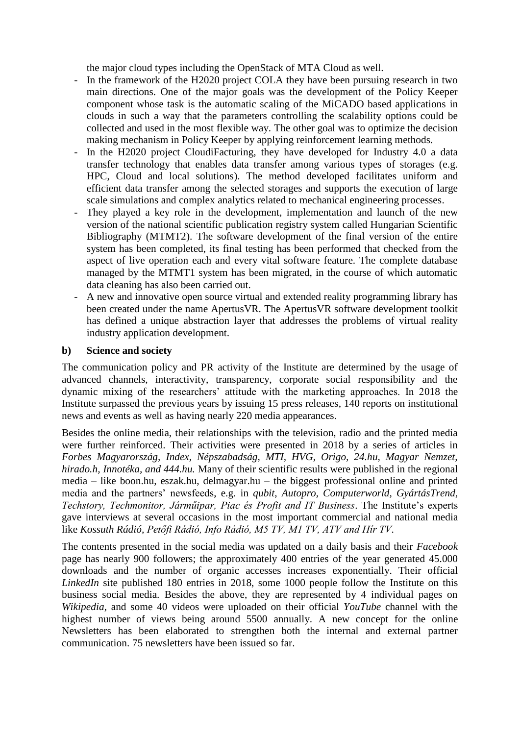the major cloud types including the OpenStack of MTA Cloud as well.

- In the framework of the H2020 project COLA they have been pursuing research in two main directions. One of the major goals was the development of the Policy Keeper component whose task is the automatic scaling of the MiCADO based applications in clouds in such a way that the parameters controlling the scalability options could be collected and used in the most flexible way. The other goal was to optimize the decision making mechanism in Policy Keeper by applying reinforcement learning methods.
- In the H2020 project CloudiFacturing, they have developed for Industry 4.0 a data transfer technology that enables data transfer among various types of storages (e.g. HPC, Cloud and local solutions). The method developed facilitates uniform and efficient data transfer among the selected storages and supports the execution of large scale simulations and complex analytics related to mechanical engineering processes.
- They played a key role in the development, implementation and launch of the new version of the national scientific publication registry system called Hungarian Scientific Bibliography (MTMT2). The software development of the final version of the entire system has been completed, its final testing has been performed that checked from the aspect of live operation each and every vital software feature. The complete database managed by the MTMT1 system has been migrated, in the course of which automatic data cleaning has also been carried out.
- A new and innovative open source virtual and extended reality programming library has been created under the name ApertusVR. The ApertusVR software development toolkit has defined a unique abstraction layer that addresses the problems of virtual reality industry application development.

#### **b) Science and society**

The communication policy and PR activity of the Institute are determined by the usage of advanced channels, interactivity, transparency, corporate social responsibility and the dynamic mixing of the researchers' attitude with the marketing approaches. In 2018 the Institute surpassed the previous years by issuing 15 press releases, 140 reports on institutional news and events as well as having nearly 220 media appearances.

Besides the online media, their relationships with the television, radio and the printed media were further reinforced. Their activities were presented in 2018 by a series of articles in *Forbes Magyarország, Index, Népszabadság, MTI, HVG, Origo, 24.hu, Magyar Nemzet, hirado.h, Innotéka, and 444.hu.* Many of their scientific results were published in the regional media – like boon.hu, eszak.hu, delmagyar.hu – the biggest professional online and printed media and the partners' newsfeeds, e.g. in *qubit*, *Autopro, Computerworld, GyártásTrend, Techstory, Techmonitor, Járműipar, Piac és Profit and IT Business*. The Institute's experts gave interviews at several occasions in the most important commercial and national media like *Kossuth Rádió, Petőfi Rádió, Info Rádió, M5 TV, M1 TV, ATV and Hír TV.* 

The contents presented in the social media was updated on a daily basis and their *Facebook* page has nearly 900 followers; the approximately 400 entries of the year generated 45.000 downloads and the number of organic accesses increases exponentially. Their official *LinkedIn* site published 180 entries in 2018, some 1000 people follow the Institute on this business social media. Besides the above, they are represented by 4 individual pages on *Wikipedia*, and some 40 videos were uploaded on their official *YouTube* channel with the highest number of views being around 5500 annually. A new concept for the online Newsletters has been elaborated to strengthen both the internal and external partner communication. 75 newsletters have been issued so far.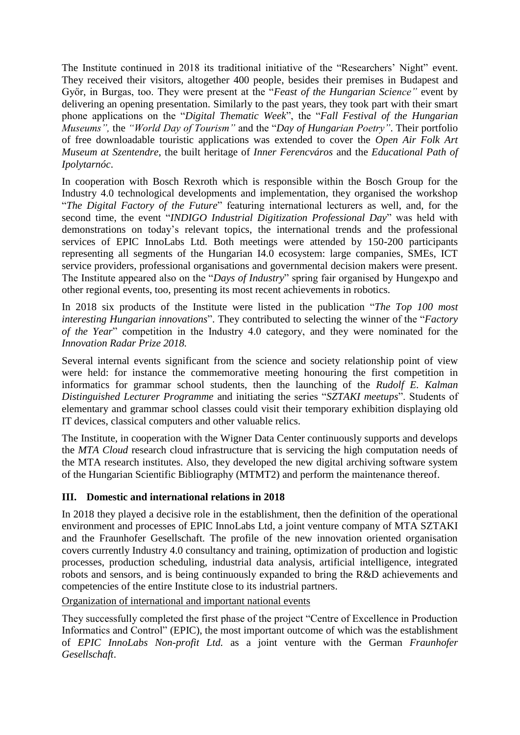The Institute continued in 2018 its traditional initiative of the "Researchers' Night" event. They received their visitors, altogether 400 people, besides their premises in Budapest and Győr, in Burgas, too. They were present at the "*Feast of the Hungarian Science"* event by delivering an opening presentation. Similarly to the past years, they took part with their smart phone applications on the "*Digital Thematic Week*", the "*Fall Festival of the Hungarian Museums",* the *"World Day of Tourism"* and the "*Day of Hungarian Poetry"*. Their portfolio of free downloadable touristic applications was extended to cover the *Open Air Folk Art Museum at Szentendre*, the built heritage of *Inner Ferencváros* and the *Educational Path of Ipolytarnóc*.

In cooperation with Bosch Rexroth which is responsible within the Bosch Group for the Industry 4.0 technological developments and implementation, they organised the workshop "*The Digital Factory of the Future*" featuring international lecturers as well, and, for the second time, the event "*INDIGO Industrial Digitization Professional Day*" was held with demonstrations on today's relevant topics, the international trends and the professional services of EPIC InnoLabs Ltd. Both meetings were attended by 150-200 participants representing all segments of the Hungarian I4.0 ecosystem: large companies, SMEs, ICT service providers, professional organisations and governmental decision makers were present. The Institute appeared also on the "*Days of Industry*" spring fair organised by Hungexpo and other regional events, too, presenting its most recent achievements in robotics.

In 2018 six products of the Institute were listed in the publication "*The Top 100 most interesting Hungarian innovations*". They contributed to selecting the winner of the "*Factory of the Year*" competition in the Industry 4.0 category, and they were nominated for the *Innovation Radar Prize 2018.*

Several internal events significant from the science and society relationship point of view were held: for instance the commemorative meeting honouring the first competition in informatics for grammar school students, then the launching of the *Rudolf E. Kalman Distinguished Lecturer Programme* and initiating the series "*SZTAKI meetups*". Students of elementary and grammar school classes could visit their temporary exhibition displaying old IT devices, classical computers and other valuable relics.

The Institute, in cooperation with the Wigner Data Center continuously supports and develops the *MTA Cloud* research cloud infrastructure that is servicing the high computation needs of the MTA research institutes. Also, they developed the new digital archiving software system of the Hungarian Scientific Bibliography (MTMT2) and perform the maintenance thereof.

#### **III. Domestic and international relations in 2018**

In 2018 they played a decisive role in the establishment, then the definition of the operational environment and processes of EPIC InnoLabs Ltd, a joint venture company of MTA SZTAKI and the Fraunhofer Gesellschaft. The profile of the new innovation oriented organisation covers currently Industry 4.0 consultancy and training, optimization of production and logistic processes, production scheduling, industrial data analysis, artificial intelligence, integrated robots and sensors, and is being continuously expanded to bring the R&D achievements and competencies of the entire Institute close to its industrial partners.

Organization of international and important national events

They successfully completed the first phase of the project "Centre of Excellence in Production Informatics and Control" (EPIC), the most important outcome of which was the establishment of *EPIC InnoLabs Non-profit Ltd.* as a joint venture with the German *Fraunhofer Gesellschaft*.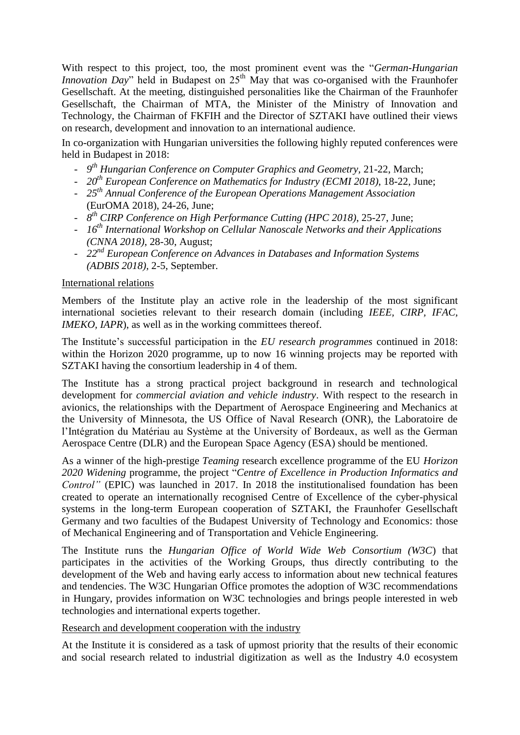With respect to this project, too, the most prominent event was the "*German-Hungarian Innovation Day*" held in Budapest on 25<sup>th</sup> May that was co-organised with the Fraunhofer Gesellschaft. At the meeting, distinguished personalities like the Chairman of the Fraunhofer Gesellschaft, the Chairman of MTA, the Minister of the Ministry of Innovation and Technology, the Chairman of FKFIH and the Director of SZTAKI have outlined their views on research, development and innovation to an international audience.

In co-organization with Hungarian universities the following highly reputed conferences were held in Budapest in 2018:

- *9 th Hungarian Conference on Computer Graphics and Geometry,* 21-22, March;
- *20th European Conference on Mathematics for Industry (ECMI 2018)*, 18-22, June;
- *25th Annual Conference of the European Operations Management Association* (EurOMA 2018), 24-26, June;
- *8 th CIRP Conference on High Performance Cutting (HPC 2018)*, 25-27, June;
- *16th International Workshop on Cellular Nanoscale Networks and their Applications (CNNA 2018)*, 28-30, August;
- *22nd European Conference on Advances in Databases and Information Systems (ADBIS 2018),* 2-5, September.

#### International relations

Members of the Institute play an active role in the leadership of the most significant international societies relevant to their research domain (including *IEEE, CIRP, IFAC, IMEKO, IAPR*), as well as in the working committees thereof.

The Institute's successful participation in the *EU research programmes* continued in 2018: within the Horizon 2020 programme, up to now 16 winning projects may be reported with SZTAKI having the consortium leadership in 4 of them.

The Institute has a strong practical project background in research and technological development for *commercial aviation and vehicle industry*. With respect to the research in avionics, the relationships with the Department of Aerospace Engineering and Mechanics at the University of Minnesota, the US Office of Naval Research (ONR), the Laboratoire de l'Intégration du Matériau au Système at the University of Bordeaux, as well as the German Aerospace Centre (DLR) and the European Space Agency (ESA) should be mentioned.

As a winner of the high-prestige *Teaming* research excellence programme of the EU *Horizon 2020 Widening* programme, the project "*Centre of Excellence in Production Informatics and Control"* (EPIC) was launched in 2017. In 2018 the institutionalised foundation has been created to operate an internationally recognised Centre of Excellence of the cyber-physical systems in the long-term European cooperation of SZTAKI, the Fraunhofer Gesellschaft Germany and two faculties of the Budapest University of Technology and Economics: those of Mechanical Engineering and of Transportation and Vehicle Engineering.

The Institute runs the *Hungarian Office of World Wide Web Consortium (W3C*) that participates in the activities of the Working Groups, thus directly contributing to the development of the Web and having early access to information about new technical features and tendencies. The W3C Hungarian Office promotes the adoption of W3C recommendations in Hungary, provides information on W3C technologies and brings people interested in web technologies and international experts together.

Research and development cooperation with the industry

At the Institute it is considered as a task of upmost priority that the results of their economic and social research related to industrial digitization as well as the Industry 4.0 ecosystem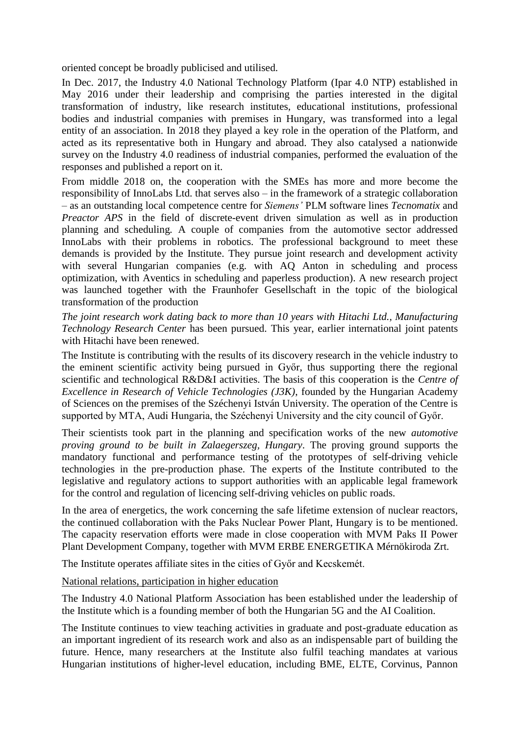oriented concept be broadly publicised and utilised.

In Dec. 2017, the Industry 4.0 National Technology Platform (Ipar 4.0 NTP) established in May 2016 under their leadership and comprising the parties interested in the digital transformation of industry, like research institutes, educational institutions, professional bodies and industrial companies with premises in Hungary, was transformed into a legal entity of an association. In 2018 they played a key role in the operation of the Platform, and acted as its representative both in Hungary and abroad. They also catalysed a nationwide survey on the Industry 4.0 readiness of industrial companies, performed the evaluation of the responses and published a report on it.

From middle 2018 on, the cooperation with the SMEs has more and more become the responsibility of InnoLabs Ltd. that serves also – in the framework of a strategic collaboration – as an outstanding local competence centre for *Siemens'* PLM software lines *Tecnomatix* and *Preactor APS* in the field of discrete-event driven simulation as well as in production planning and scheduling*.* A couple of companies from the automotive sector addressed InnoLabs with their problems in robotics. The professional background to meet these demands is provided by the Institute. They pursue joint research and development activity with several Hungarian companies (e.g. with AQ Anton in scheduling and process optimization, with Aventics in scheduling and paperless production). A new research project was launched together with the Fraunhofer Gesellschaft in the topic of the biological transformation of the production

*The joint research work dating back to more than 10 years with Hitachi Ltd., Manufacturing Technology Research Center* has been pursued. This year, earlier international joint patents with Hitachi have been renewed.

The Institute is contributing with the results of its discovery research in the vehicle industry to the eminent scientific activity being pursued in Győr, thus supporting there the regional scientific and technological R&D&I activities. The basis of this cooperation is the *Centre of Excellence in Research of Vehicle Technologies (J3K)*, founded by the Hungarian Academy of Sciences on the premises of the Széchenyi István University. The operation of the Centre is supported by MTA, Audi Hungaria, the Széchenyi University and the city council of Győr.

Their scientists took part in the planning and specification works of the new *automotive proving ground to be built in Zalaegerszeg, Hungary*. The proving ground supports the mandatory functional and performance testing of the prototypes of self-driving vehicle technologies in the pre-production phase. The experts of the Institute contributed to the legislative and regulatory actions to support authorities with an applicable legal framework for the control and regulation of licencing self-driving vehicles on public roads.

In the area of energetics, the work concerning the safe lifetime extension of nuclear reactors, the continued collaboration with the Paks Nuclear Power Plant, Hungary is to be mentioned. The capacity reservation efforts were made in close cooperation with MVM Paks II Power Plant Development Company, together with MVM ERBE ENERGETIKA Mérnökiroda Zrt.

The Institute operates affiliate sites in the cities of Győr and Kecskemét.

National relations, participation in higher education

The Industry 4.0 National Platform Association has been established under the leadership of the Institute which is a founding member of both the Hungarian 5G and the AI Coalition.

The Institute continues to view teaching activities in graduate and post-graduate education as an important ingredient of its research work and also as an indispensable part of building the future. Hence, many researchers at the Institute also fulfil teaching mandates at various Hungarian institutions of higher-level education, including BME, ELTE, Corvinus, Pannon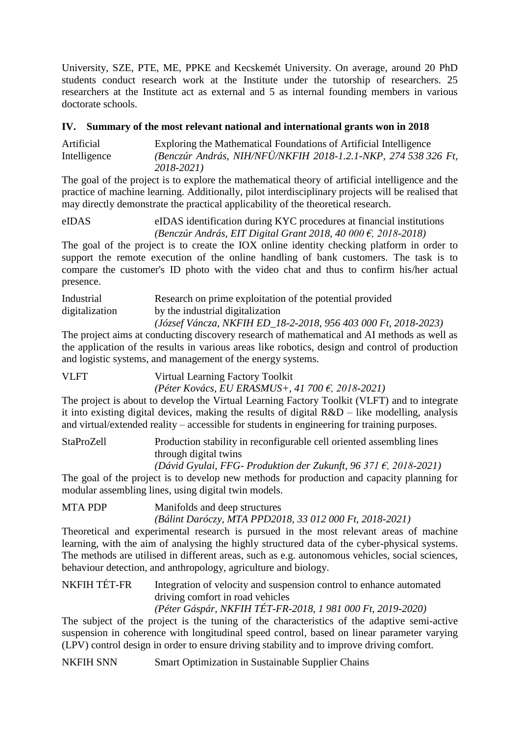University, SZE, PTE, ME, PPKE and Kecskemét University. On average, around 20 PhD students conduct research work at the Institute under the tutorship of researchers. 25 researchers at the Institute act as external and 5 as internal founding members in various doctorate schools.

#### **IV. Summary of the most relevant national and international grants won in 2018**

Artificial Exploring the Mathematical Foundations of Artificial Intelligence Intelligence *(Benczúr András, NIH/NFÜ/NKFIH 2018-1.2.1-NKP, 274 538 326 Ft, 2018-2021)*

The goal of the project is to explore the mathematical theory of artificial intelligence and the practice of machine learning. Additionally, pilot interdisciplinary projects will be realised that may directly demonstrate the practical applicability of the theoretical research.

eIDAS eIDAS identification during KYC procedures at financial institutions *(Benczúr András, EIT Digital Grant 2018, 40 000 €, 2018-2018)*

The goal of the project is to create the IOX online identity checking platform in order to support the remote execution of the online handling of bank customers. The task is to compare the customer's ID photo with the video chat and thus to confirm his/her actual presence.

Industrial Research on prime exploitation of the potential provided digitalization by the industrial digitalization *(József Váncza, NKFIH ED\_18-2-2018, 956 403 000 Ft, 2018-2023)*

The project aims at conducting discovery research of mathematical and AI methods as well as the application of the results in various areas like robotics, design and control of production and logistic systems, and management of the energy systems.

VLFT Virtual Learning Factory Toolkit *(Péter Kovács, EU ERASMUS+, 41 700 €, 2018-2021)*

The project is about to develop the Virtual Learning Factory Toolkit (VLFT) and to integrate it into existing digital devices, making the results of digital R&D – like modelling, analysis and virtual/extended reality – accessible for students in engineering for training purposes.

StaProZell Production stability in reconfigurable cell oriented assembling lines through digital twins

*(Dávid Gyulai, FFG- Produktion der Zukunft, 96 371 €, 2018-2021)*

The goal of the project is to develop new methods for production and capacity planning for modular assembling lines, using digital twin models.

MTA PDP Manifolds and deep structures

*(Bálint Daróczy, MTA PPD2018, 33 012 000 Ft, 2018-2021)*

Theoretical and experimental research is pursued in the most relevant areas of machine learning, with the aim of analysing the highly structured data of the cyber-physical systems. The methods are utilised in different areas, such as e.g. autonomous vehicles, social sciences, behaviour detection, and anthropology, agriculture and biology.

NKFIH TÉT-FR Integration of velocity and suspension control to enhance automated driving comfort in road vehicles

*(Péter Gáspár, NKFIH TÉT-FR-2018, 1 981 000 Ft, 2019-2020)*

The subject of the project is the tuning of the characteristics of the adaptive semi-active suspension in coherence with longitudinal speed control, based on linear parameter varying (LPV) control design in order to ensure driving stability and to improve driving comfort.

NKFIH SNN Smart Optimization in Sustainable Supplier Chains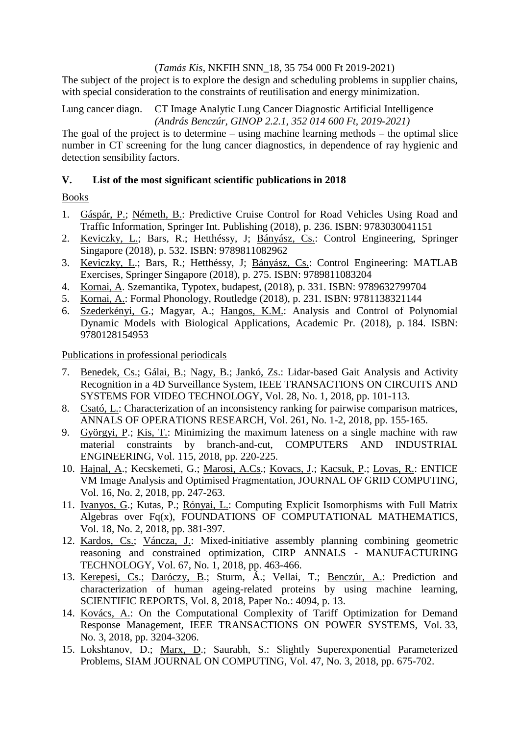#### (*Tamás Kis*, NKFIH SNN\_18, 35 754 000 Ft 2019-2021)

The subject of the project is to explore the design and scheduling problems in supplier chains, with special consideration to the constraints of reutilisation and energy minimization.

Lung cancer diagn. CT Image Analytic Lung Cancer Diagnostic Artificial Intelligence *(András Benczúr, GINOP 2.2.1, 352 014 600 Ft, 2019-2021)*

The goal of the project is to determine – using machine learning methods – the optimal slice number in CT screening for the lung cancer diagnostics, in dependence of ray hygienic and detection sensibility factors.

#### **V. List of the most significant scientific publications in 2018**

#### Books

- 1. Gáspár, P.; Németh, B.: Predictive Cruise Control for Road Vehicles Using Road and Traffic Information, Springer Int. Publishing (2018), p. 236. ISBN: 9783030041151
- 2. Keviczky, L.; Bars, R.; Hetthéssy, J; Bányász, Cs.: Control Engineering, Springer Singapore (2018), p. 532. ISBN: 9789811082962
- 3. Keviczky, L.; Bars, R.; Hetthéssy, J; Bányász, Cs.: Control Engineering: MATLAB Exercises, Springer Singapore (2018), p. 275. ISBN: 9789811083204
- 4. Kornai, A. Szemantika, Typotex, budapest, (2018), p. 331. ISBN: 9789632799704
- 5. Kornai, A.: Formal Phonology, Routledge (2018), p. 231. ISBN: 9781138321144
- 6. Szederkényi, G.; Magyar, A.; Hangos, K.M.: Analysis and Control of Polynomial Dynamic Models with Biological Applications, Academic Pr. (2018), p. 184. ISBN: 9780128154953

Publications in professional periodicals

- 7. Benedek, Cs.; Gálai, B.; Nagy, B.; Jankó, Zs.: Lidar-based Gait Analysis and Activity Recognition in a 4D Surveillance System, IEEE TRANSACTIONS ON CIRCUITS AND SYSTEMS FOR VIDEO TECHNOLOGY, Vol. 28, No. 1, 2018, pp. 101-113.
- 8. Csató, L.: Characterization of an inconsistency ranking for pairwise comparison matrices, ANNALS OF OPERATIONS RESEARCH, Vol. 261, No. 1-2, 2018, pp. 155-165.
- 9. Györgyi, P.; Kis, T.: Minimizing the maximum lateness on a single machine with raw material constraints by branch-and-cut, COMPUTERS AND INDUSTRIAL ENGINEERING, Vol. 115, 2018, pp. 220-225.
- 10. Hajnal, A.; Kecskemeti, G.; Marosi, A.Cs.; Kovacs, J.; Kacsuk, P.; Lovas, R.: ENTICE VM Image Analysis and Optimised Fragmentation, JOURNAL OF GRID COMPUTING, Vol. 16, No. 2, 2018, pp. 247-263.
- 11. Ivanyos, G.; Kutas, P.; Rónyai, L.: Computing Explicit Isomorphisms with Full Matrix Algebras over Fq(x), FOUNDATIONS OF COMPUTATIONAL MATHEMATICS, Vol. 18, No. 2, 2018, pp. 381-397.
- 12. Kardos, Cs.; Váncza, J.: Mixed-initiative assembly planning combining geometric reasoning and constrained optimization, CIRP ANNALS - MANUFACTURING TECHNOLOGY, Vol. 67, No. 1, 2018, pp. 463-466.
- 13. Kerepesi, Cs.; Daróczy, B.; Sturm, Á.; Vellai, T.; Benczúr, A.: Prediction and characterization of human ageing-related proteins by using machine learning, SCIENTIFIC REPORTS, Vol. 8, 2018, Paper No.: 4094, p. 13.
- 14. Kovács, A.: On the Computational Complexity of Tariff Optimization for Demand Response Management, IEEE TRANSACTIONS ON POWER SYSTEMS, Vol. 33, No. 3, 2018, pp. 3204-3206.
- 15. Lokshtanov, D.; Marx, D.; Saurabh, S.: Slightly Superexponential Parameterized Problems, SIAM JOURNAL ON COMPUTING, Vol. 47, No. 3, 2018, pp. 675-702.